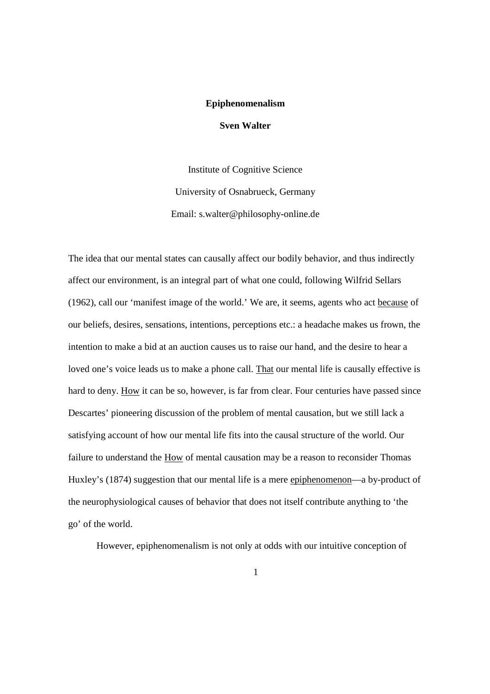#### **Epiphenomenalism**

**Sven Walter** 

Institute of Cognitive Science University of Osnabrueck, Germany Email: s.walter@philosophy-online.de

The idea that our mental states can causally affect our bodily behavior, and thus indirectly affect our environment, is an integral part of what one could, following Wilfrid Sellars (1962), call our 'manifest image of the world.' We are, it seems, agents who act because of our beliefs, desires, sensations, intentions, perceptions etc.: a headache makes us frown, the intention to make a bid at an auction causes us to raise our hand, and the desire to hear a loved one's voice leads us to make a phone call. That our mental life is causally effective is hard to deny. How it can be so, however, is far from clear. Four centuries have passed since Descartes' pioneering discussion of the problem of mental causation, but we still lack a satisfying account of how our mental life fits into the causal structure of the world. Our failure to understand the How of mental causation may be a reason to reconsider Thomas Huxley's (1874) suggestion that our mental life is a mere epiphenomenon—a by-product of the neurophysiological causes of behavior that does not itself contribute anything to 'the go' of the world.

However, epiphenomenalism is not only at odds with our intuitive conception of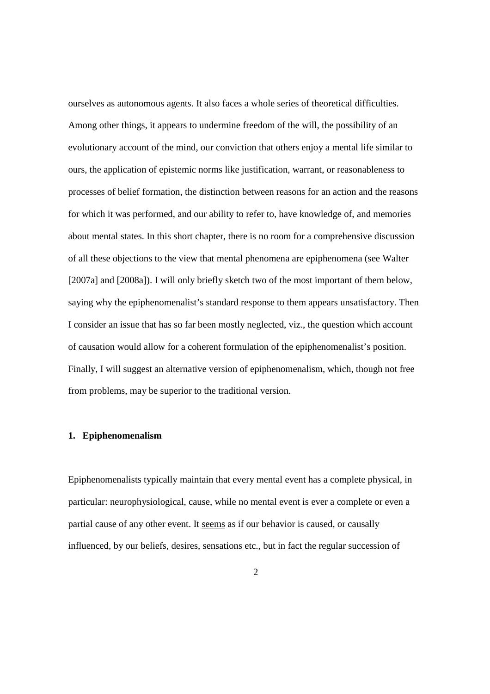ourselves as autonomous agents. It also faces a whole series of theoretical difficulties. Among other things, it appears to undermine freedom of the will, the possibility of an evolutionary account of the mind, our conviction that others enjoy a mental life similar to ours, the application of epistemic norms like justification, warrant, or reasonableness to processes of belief formation, the distinction between reasons for an action and the reasons for which it was performed, and our ability to refer to, have knowledge of, and memories about mental states. In this short chapter, there is no room for a comprehensive discussion of all these objections to the view that mental phenomena are epiphenomena (see Walter [2007a] and [2008a]). I will only briefly sketch two of the most important of them below, saying why the epiphenomenalist's standard response to them appears unsatisfactory. Then I consider an issue that has so far been mostly neglected, viz., the question which account of causation would allow for a coherent formulation of the epiphenomenalist's position. Finally, I will suggest an alternative version of epiphenomenalism, which, though not free from problems, may be superior to the traditional version.

## **1. Epiphenomenalism**

Epiphenomenalists typically maintain that every mental event has a complete physical, in particular: neurophysiological, cause, while no mental event is ever a complete or even a partial cause of any other event. It seems as if our behavior is caused, or causally influenced, by our beliefs, desires, sensations etc., but in fact the regular succession of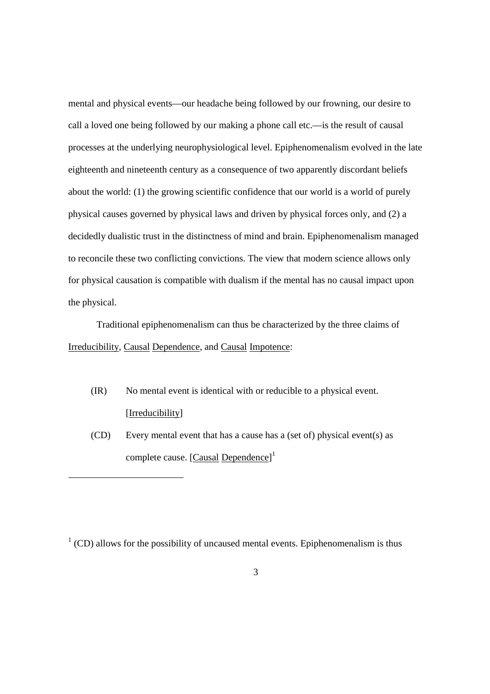mental and physical events—our headache being followed by our frowning, our desire to call a loved one being followed by our making a phone call etc.—is the result of causal processes at the underlying neurophysiological level. Epiphenomenalism evolved in the late eighteenth and nineteenth century as a consequence of two apparently discordant beliefs about the world: (1) the growing scientific confidence that our world is a world of purely physical causes governed by physical laws and driven by physical forces only, and (2) a decidedly dualistic trust in the distinctness of mind and brain. Epiphenomenalism managed to reconcile these two conflicting convictions. The view that modern science allows only for physical causation is compatible with dualism if the mental has no causal impact upon the physical.

Traditional epiphenomenalism can thus be characterized by the three claims of Irreducibility, Causal Dependence, and Causal Impotence:

- (IR) No mental event is identical with or reducible to a physical event. [Irreducibility]
- (CD) Every mental event that has a cause has a (set of) physical event(s) as complete cause. [Causal Dependence]<sup>1</sup>

-

 $1$ <sup>1</sup> (CD) allows for the possibility of uncaused mental events. Epiphenomenalism is thus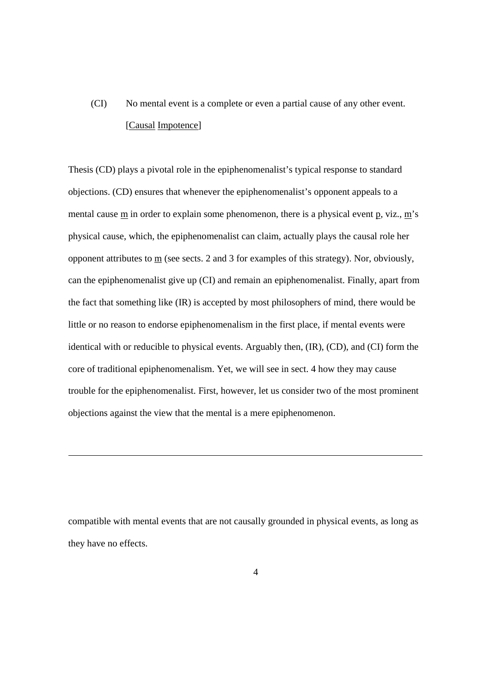(CI) No mental event is a complete or even a partial cause of any other event. [Causal Impotence]

Thesis (CD) plays a pivotal role in the epiphenomenalist's typical response to standard objections. (CD) ensures that whenever the epiphenomenalist's opponent appeals to a mental cause m in order to explain some phenomenon, there is a physical event p, viz., m's physical cause, which, the epiphenomenalist can claim, actually plays the causal role her opponent attributes to  $\underline{m}$  (see sects. 2 and 3 for examples of this strategy). Nor, obviously, can the epiphenomenalist give up (CI) and remain an epiphenomenalist. Finally, apart from the fact that something like (IR) is accepted by most philosophers of mind, there would be little or no reason to endorse epiphenomenalism in the first place, if mental events were identical with or reducible to physical events. Arguably then, (IR), (CD), and (CI) form the core of traditional epiphenomenalism. Yet, we will see in sect. 4 how they may cause trouble for the epiphenomenalist. First, however, let us consider two of the most prominent objections against the view that the mental is a mere epiphenomenon.

compatible with mental events that are not causally grounded in physical events, as long as they have no effects.

-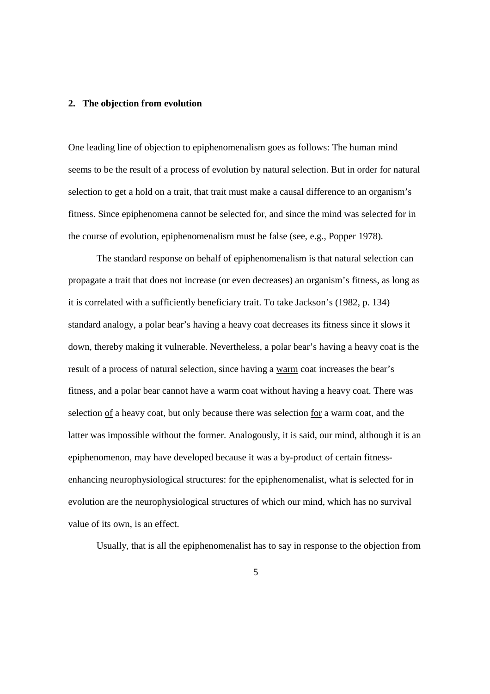#### **2. The objection from evolution**

One leading line of objection to epiphenomenalism goes as follows: The human mind seems to be the result of a process of evolution by natural selection. But in order for natural selection to get a hold on a trait, that trait must make a causal difference to an organism's fitness. Since epiphenomena cannot be selected for, and since the mind was selected for in the course of evolution, epiphenomenalism must be false (see, e.g., Popper 1978).

The standard response on behalf of epiphenomenalism is that natural selection can propagate a trait that does not increase (or even decreases) an organism's fitness, as long as it is correlated with a sufficiently beneficiary trait. To take Jackson's (1982, p. 134) standard analogy, a polar bear's having a heavy coat decreases its fitness since it slows it down, thereby making it vulnerable. Nevertheless, a polar bear's having a heavy coat is the result of a process of natural selection, since having a warm coat increases the bear's fitness, and a polar bear cannot have a warm coat without having a heavy coat. There was selection of a heavy coat, but only because there was selection for a warm coat, and the latter was impossible without the former. Analogously, it is said, our mind, although it is an epiphenomenon, may have developed because it was a by-product of certain fitnessenhancing neurophysiological structures: for the epiphenomenalist, what is selected for in evolution are the neurophysiological structures of which our mind, which has no survival value of its own, is an effect.

Usually, that is all the epiphenomenalist has to say in response to the objection from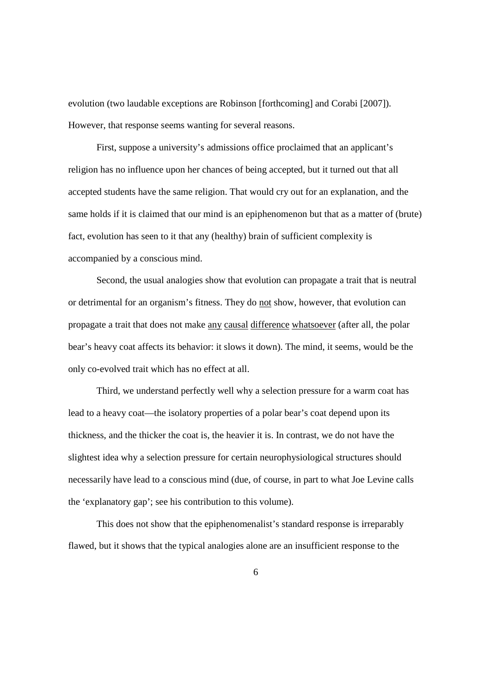evolution (two laudable exceptions are Robinson [forthcoming] and Corabi [2007]). However, that response seems wanting for several reasons.

First, suppose a university's admissions office proclaimed that an applicant's religion has no influence upon her chances of being accepted, but it turned out that all accepted students have the same religion. That would cry out for an explanation, and the same holds if it is claimed that our mind is an epiphenomenon but that as a matter of (brute) fact, evolution has seen to it that any (healthy) brain of sufficient complexity is accompanied by a conscious mind.

Second, the usual analogies show that evolution can propagate a trait that is neutral or detrimental for an organism's fitness. They do not show, however, that evolution can propagate a trait that does not make any causal difference whatsoever (after all, the polar bear's heavy coat affects its behavior: it slows it down). The mind, it seems, would be the only co-evolved trait which has no effect at all.

Third, we understand perfectly well why a selection pressure for a warm coat has lead to a heavy coat—the isolatory properties of a polar bear's coat depend upon its thickness, and the thicker the coat is, the heavier it is. In contrast, we do not have the slightest idea why a selection pressure for certain neurophysiological structures should necessarily have lead to a conscious mind (due, of course, in part to what Joe Levine calls the 'explanatory gap'; see his contribution to this volume).

This does not show that the epiphenomenalist's standard response is irreparably flawed, but it shows that the typical analogies alone are an insufficient response to the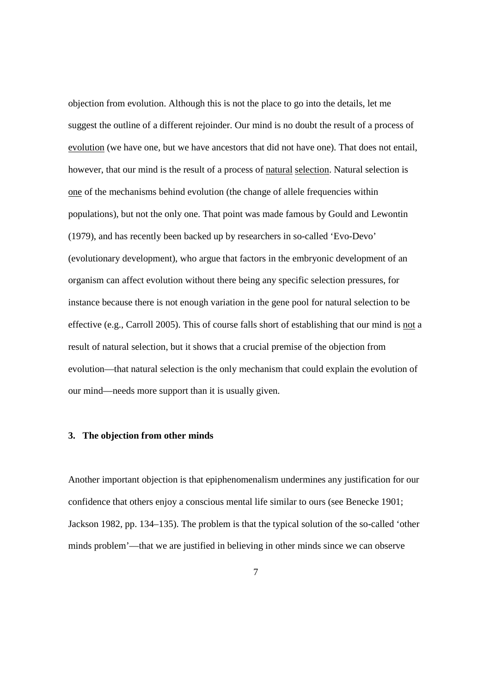objection from evolution. Although this is not the place to go into the details, let me suggest the outline of a different rejoinder. Our mind is no doubt the result of a process of evolution (we have one, but we have ancestors that did not have one). That does not entail, however, that our mind is the result of a process of natural selection. Natural selection is one of the mechanisms behind evolution (the change of allele frequencies within populations), but not the only one. That point was made famous by Gould and Lewontin (1979), and has recently been backed up by researchers in so-called 'Evo-Devo' (evolutionary development), who argue that factors in the embryonic development of an organism can affect evolution without there being any specific selection pressures, for instance because there is not enough variation in the gene pool for natural selection to be effective (e.g., Carroll 2005). This of course falls short of establishing that our mind is not a result of natural selection, but it shows that a crucial premise of the objection from evolution—that natural selection is the only mechanism that could explain the evolution of our mind—needs more support than it is usually given.

# **3. The objection from other minds**

Another important objection is that epiphenomenalism undermines any justification for our confidence that others enjoy a conscious mental life similar to ours (see Benecke 1901; Jackson 1982, pp. 134–135). The problem is that the typical solution of the so-called 'other minds problem'—that we are justified in believing in other minds since we can observe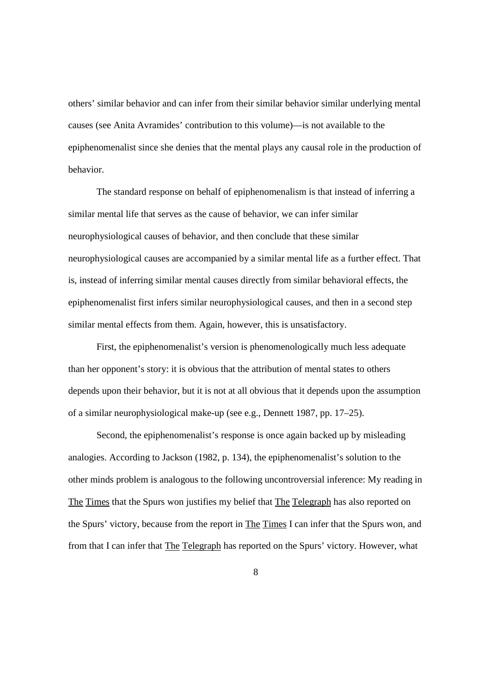others' similar behavior and can infer from their similar behavior similar underlying mental causes (see Anita Avramides' contribution to this volume)—is not available to the epiphenomenalist since she denies that the mental plays any causal role in the production of behavior.

The standard response on behalf of epiphenomenalism is that instead of inferring a similar mental life that serves as the cause of behavior, we can infer similar neurophysiological causes of behavior, and then conclude that these similar neurophysiological causes are accompanied by a similar mental life as a further effect. That is, instead of inferring similar mental causes directly from similar behavioral effects, the epiphenomenalist first infers similar neurophysiological causes, and then in a second step similar mental effects from them. Again, however, this is unsatisfactory.

First, the epiphenomenalist's version is phenomenologically much less adequate than her opponent's story: it is obvious that the attribution of mental states to others depends upon their behavior, but it is not at all obvious that it depends upon the assumption of a similar neurophysiological make-up (see e.g., Dennett 1987, pp. 17–25).

Second, the epiphenomenalist's response is once again backed up by misleading analogies. According to Jackson (1982, p. 134), the epiphenomenalist's solution to the other minds problem is analogous to the following uncontroversial inference: My reading in The Times that the Spurs won justifies my belief that The Telegraph has also reported on the Spurs' victory, because from the report in The Times I can infer that the Spurs won, and from that I can infer that The Telegraph has reported on the Spurs' victory. However, what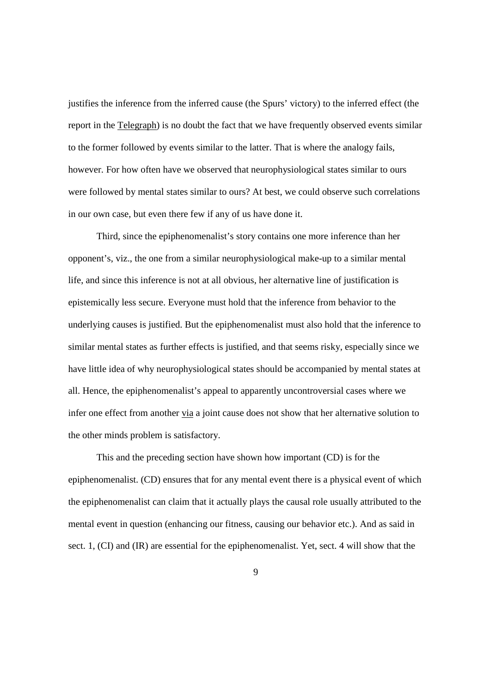justifies the inference from the inferred cause (the Spurs' victory) to the inferred effect (the report in the Telegraph) is no doubt the fact that we have frequently observed events similar to the former followed by events similar to the latter. That is where the analogy fails, however. For how often have we observed that neurophysiological states similar to ours were followed by mental states similar to ours? At best, we could observe such correlations in our own case, but even there few if any of us have done it.

Third, since the epiphenomenalist's story contains one more inference than her opponent's, viz., the one from a similar neurophysiological make-up to a similar mental life, and since this inference is not at all obvious, her alternative line of justification is epistemically less secure. Everyone must hold that the inference from behavior to the underlying causes is justified. But the epiphenomenalist must also hold that the inference to similar mental states as further effects is justified, and that seems risky, especially since we have little idea of why neurophysiological states should be accompanied by mental states at all. Hence, the epiphenomenalist's appeal to apparently uncontroversial cases where we infer one effect from another via a joint cause does not show that her alternative solution to the other minds problem is satisfactory.

This and the preceding section have shown how important (CD) is for the epiphenomenalist. (CD) ensures that for any mental event there is a physical event of which the epiphenomenalist can claim that it actually plays the causal role usually attributed to the mental event in question (enhancing our fitness, causing our behavior etc.). And as said in sect. 1, (CI) and (IR) are essential for the epiphenomenalist. Yet, sect. 4 will show that the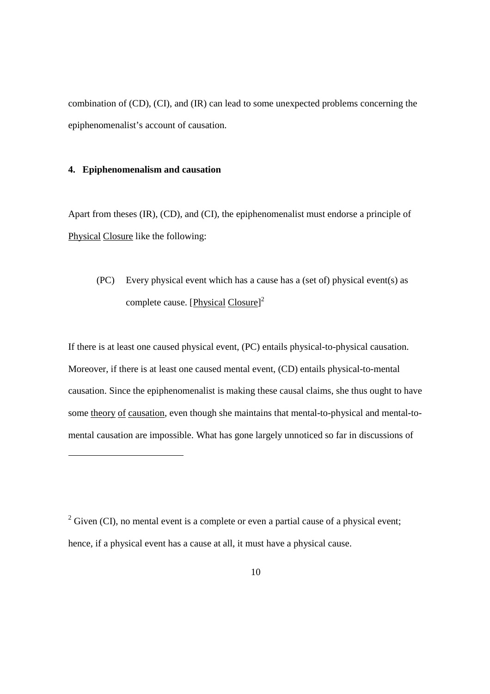combination of (CD), (CI), and (IR) can lead to some unexpected problems concerning the epiphenomenalist's account of causation.

# **4. Epiphenomenalism and causation**

-

Apart from theses (IR), (CD), and (CI), the epiphenomenalist must endorse a principle of Physical Closure like the following:

(PC) Every physical event which has a cause has a (set of) physical event(s) as complete cause. [Physical Closure]<sup>2</sup>

If there is at least one caused physical event, (PC) entails physical-to-physical causation. Moreover, if there is at least one caused mental event, (CD) entails physical-to-mental causation. Since the epiphenomenalist is making these causal claims, she thus ought to have some theory of causation, even though she maintains that mental-to-physical and mental-tomental causation are impossible. What has gone largely unnoticed so far in discussions of

 $2^2$  Given (CI), no mental event is a complete or even a partial cause of a physical event; hence, if a physical event has a cause at all, it must have a physical cause.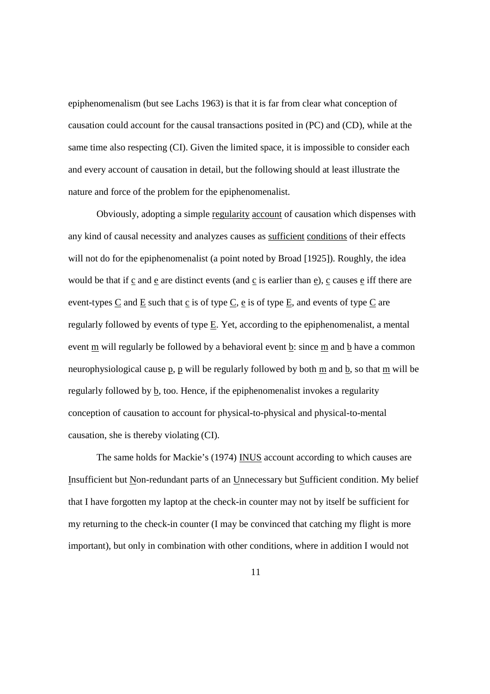epiphenomenalism (but see Lachs 1963) is that it is far from clear what conception of causation could account for the causal transactions posited in (PC) and (CD), while at the same time also respecting (CI). Given the limited space, it is impossible to consider each and every account of causation in detail, but the following should at least illustrate the nature and force of the problem for the epiphenomenalist.

Obviously, adopting a simple regularity account of causation which dispenses with any kind of causal necessity and analyzes causes as sufficient conditions of their effects will not do for the epiphenomenalist (a point noted by Broad [1925]). Roughly, the idea would be that if  $\frac{c}{c}$  and  $\frac{e}{c}$  are distinct events (and  $\frac{c}{c}$  is earlier than  $\frac{e}{c}$ ),  $\frac{c}{c}$  causes  $\frac{e}{c}$  iff there are event-types C and E such that c is of type C, e is of type E, and events of type C are regularly followed by events of type E. Yet, according to the epiphenomenalist, a mental event m will regularly be followed by a behavioral event b: since m and b have a common neurophysiological cause p, p will be regularly followed by both m and b, so that m will be regularly followed by b, too. Hence, if the epiphenomenalist invokes a regularity conception of causation to account for physical-to-physical and physical-to-mental causation, she is thereby violating (CI).

The same holds for Mackie's (1974) INUS account according to which causes are Insufficient but Non-redundant parts of an Unnecessary but Sufficient condition. My belief that I have forgotten my laptop at the check-in counter may not by itself be sufficient for my returning to the check-in counter (I may be convinced that catching my flight is more important), but only in combination with other conditions, where in addition I would not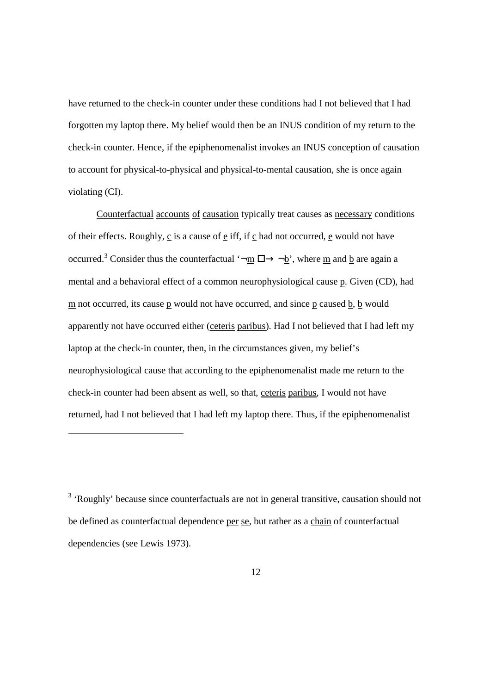have returned to the check-in counter under these conditions had I not believed that I had forgotten my laptop there. My belief would then be an INUS condition of my return to the check-in counter. Hence, if the epiphenomenalist invokes an INUS conception of causation to account for physical-to-physical and physical-to-mental causation, she is once again violating (CI).

Counterfactual accounts of causation typically treat causes as necessary conditions of their effects. Roughly,  $c$  is a cause of  $e$  iff, if  $c$  had not occurred,  $e$  would not have occurred.<sup>3</sup> Consider thus the counterfactual ' $\neg$ m  $\square \rightarrow \neg \underline{b}$ ', where m and  $\underline{b}$  are again a mental and a behavioral effect of a common neurophysiological cause p. Given (CD), had m not occurred, its cause p would not have occurred, and since p caused b, b would apparently not have occurred either (ceteris paribus). Had I not believed that I had left my laptop at the check-in counter, then, in the circumstances given, my belief's neurophysiological cause that according to the epiphenomenalist made me return to the check-in counter had been absent as well, so that, ceteris paribus, I would not have returned, had I not believed that I had left my laptop there. Thus, if the epiphenomenalist

-

<sup>&</sup>lt;sup>3</sup> 'Roughly' because since counterfactuals are not in general transitive, causation should not be defined as counterfactual dependence per se, but rather as a chain of counterfactual dependencies (see Lewis 1973).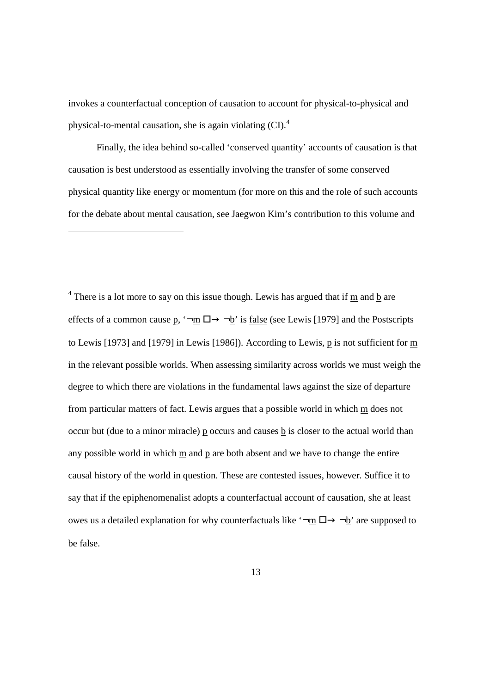invokes a counterfactual conception of causation to account for physical-to-physical and physical-to-mental causation, she is again violating  $(CI)^4$ .

Finally, the idea behind so-called 'conserved quantity' accounts of causation is that causation is best understood as essentially involving the transfer of some conserved physical quantity like energy or momentum (for more on this and the role of such accounts for the debate about mental causation, see Jaegwon Kim's contribution to this volume and

-

<sup>4</sup> There is a lot more to say on this issue though. Lewis has argued that if  $\underline{m}$  and  $\underline{b}$  are effects of a common cause p, ' $\neg$ m  $\square \rightarrow \neg \underline{b}$ ' is <u>false</u> (see Lewis [1979] and the Postscripts to Lewis [1973] and [1979] in Lewis [1986]). According to Lewis, p is not sufficient for m in the relevant possible worlds. When assessing similarity across worlds we must weigh the degree to which there are violations in the fundamental laws against the size of departure from particular matters of fact. Lewis argues that a possible world in which m does not occur but (due to a minor miracle)  $p$  occurs and causes  $\frac{b}{p}$  is closer to the actual world than any possible world in which  $\underline{m}$  and  $\underline{p}$  are both absent and we have to change the entire causal history of the world in question. These are contested issues, however. Suffice it to say that if the epiphenomenalist adopts a counterfactual account of causation, she at least owes us a detailed explanation for why counterfactuals like  $\rightarrow$   $\rightarrow$   $\rightarrow$   $\rightarrow$   $\rightarrow$   $\rightarrow$   $\rightarrow$  are supposed to be false.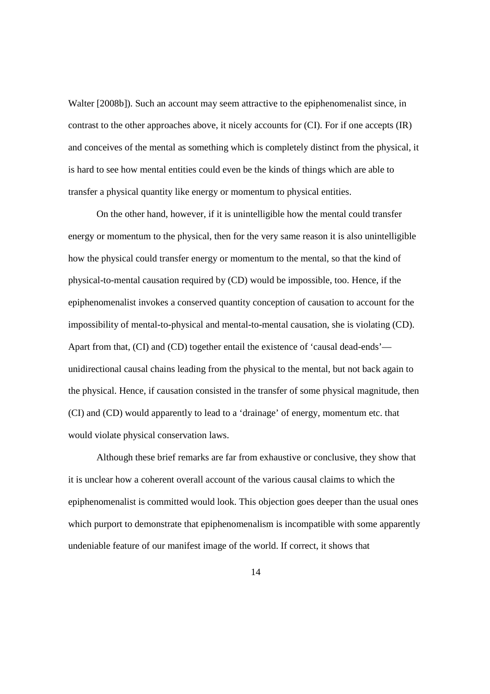Walter [2008b]). Such an account may seem attractive to the epiphenomenalist since, in contrast to the other approaches above, it nicely accounts for (CI). For if one accepts (IR) and conceives of the mental as something which is completely distinct from the physical, it is hard to see how mental entities could even be the kinds of things which are able to transfer a physical quantity like energy or momentum to physical entities.

On the other hand, however, if it is unintelligible how the mental could transfer energy or momentum to the physical, then for the very same reason it is also unintelligible how the physical could transfer energy or momentum to the mental, so that the kind of physical-to-mental causation required by (CD) would be impossible, too. Hence, if the epiphenomenalist invokes a conserved quantity conception of causation to account for the impossibility of mental-to-physical and mental-to-mental causation, she is violating (CD). Apart from that, (CI) and (CD) together entail the existence of 'causal dead-ends' unidirectional causal chains leading from the physical to the mental, but not back again to the physical. Hence, if causation consisted in the transfer of some physical magnitude, then (CI) and (CD) would apparently to lead to a 'drainage' of energy, momentum etc. that would violate physical conservation laws.

Although these brief remarks are far from exhaustive or conclusive, they show that it is unclear how a coherent overall account of the various causal claims to which the epiphenomenalist is committed would look. This objection goes deeper than the usual ones which purport to demonstrate that epiphenomenalism is incompatible with some apparently undeniable feature of our manifest image of the world. If correct, it shows that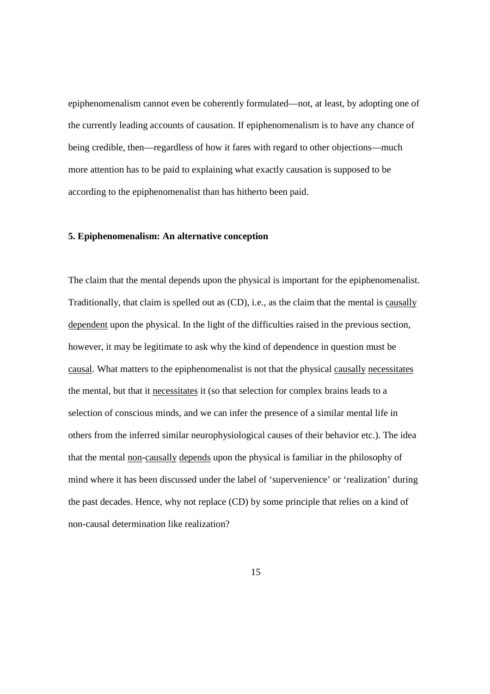epiphenomenalism cannot even be coherently formulated—not, at least, by adopting one of the currently leading accounts of causation. If epiphenomenalism is to have any chance of being credible, then—regardless of how it fares with regard to other objections—much more attention has to be paid to explaining what exactly causation is supposed to be according to the epiphenomenalist than has hitherto been paid.

## **5. Epiphenomenalism: An alternative conception**

The claim that the mental depends upon the physical is important for the epiphenomenalist. Traditionally, that claim is spelled out as (CD), i.e., as the claim that the mental is causally dependent upon the physical. In the light of the difficulties raised in the previous section, however, it may be legitimate to ask why the kind of dependence in question must be causal. What matters to the epiphenomenalist is not that the physical causally necessitates the mental, but that it necessitates it (so that selection for complex brains leads to a selection of conscious minds, and we can infer the presence of a similar mental life in others from the inferred similar neurophysiological causes of their behavior etc.). The idea that the mental non-causally depends upon the physical is familiar in the philosophy of mind where it has been discussed under the label of 'supervenience' or 'realization' during the past decades. Hence, why not replace (CD) by some principle that relies on a kind of non-causal determination like realization?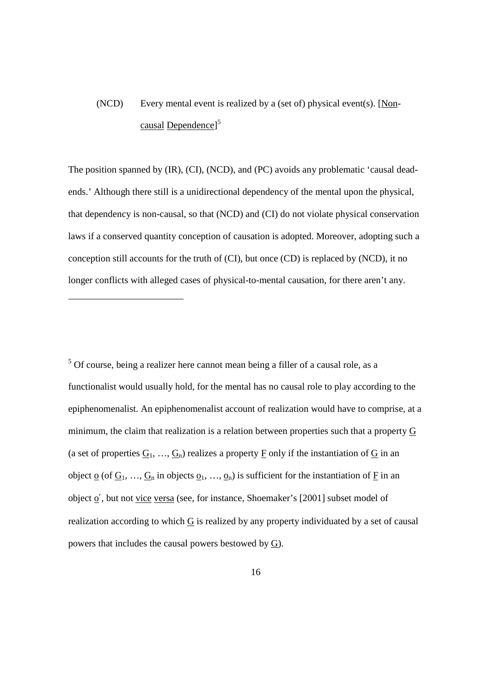# $(NCD)$  Every mental event is realized by a (set of) physical event(s). [Noncausal Dependence]<sup>5</sup>

The position spanned by (IR), (CI), (NCD), and (PC) avoids any problematic 'causal deadends.' Although there still is a unidirectional dependency of the mental upon the physical, that dependency is non-causal, so that (NCD) and (CI) do not violate physical conservation laws if a conserved quantity conception of causation is adopted. Moreover, adopting such a conception still accounts for the truth of (CI), but once (CD) is replaced by (NCD), it no longer conflicts with alleged cases of physical-to-mental causation, for there aren't any.

-

<sup>5</sup> Of course, being a realizer here cannot mean being a filler of a causal role, as a functionalist would usually hold, for the mental has no causal role to play according to the epiphenomenalist. An epiphenomenalist account of realization would have to comprise, at a minimum, the claim that realization is a relation between properties such that a property G (a set of properties  $\underline{G}_1, ..., \underline{G}_n$ ) realizes a property  $\underline{F}$  only if the instantiation of  $\underline{G}$  in an object  $\Omega$  (of  $G_1, \ldots, G_n$  in objects  $Q_1, \ldots, Q_n$ ) is sufficient for the instantiation of F in an object  $\mathbf{o}'$ , but not vice versa (see, for instance, Shoemaker's [2001] subset model of realization according to which  $G$  is realized by any property individuated by a set of causal powers that includes the causal powers bestowed by G).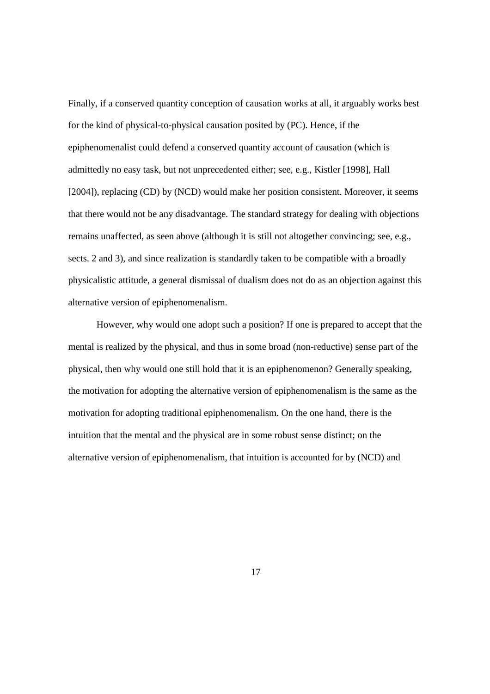Finally, if a conserved quantity conception of causation works at all, it arguably works best for the kind of physical-to-physical causation posited by (PC). Hence, if the epiphenomenalist could defend a conserved quantity account of causation (which is admittedly no easy task, but not unprecedented either; see, e.g., Kistler [1998], Hall [2004]), replacing (CD) by (NCD) would make her position consistent. Moreover, it seems that there would not be any disadvantage. The standard strategy for dealing with objections remains unaffected, as seen above (although it is still not altogether convincing; see, e.g., sects. 2 and 3), and since realization is standardly taken to be compatible with a broadly physicalistic attitude, a general dismissal of dualism does not do as an objection against this alternative version of epiphenomenalism.

However, why would one adopt such a position? If one is prepared to accept that the mental is realized by the physical, and thus in some broad (non-reductive) sense part of the physical, then why would one still hold that it is an epiphenomenon? Generally speaking, the motivation for adopting the alternative version of epiphenomenalism is the same as the motivation for adopting traditional epiphenomenalism. On the one hand, there is the intuition that the mental and the physical are in some robust sense distinct; on the alternative version of epiphenomenalism, that intuition is accounted for by (NCD) and

17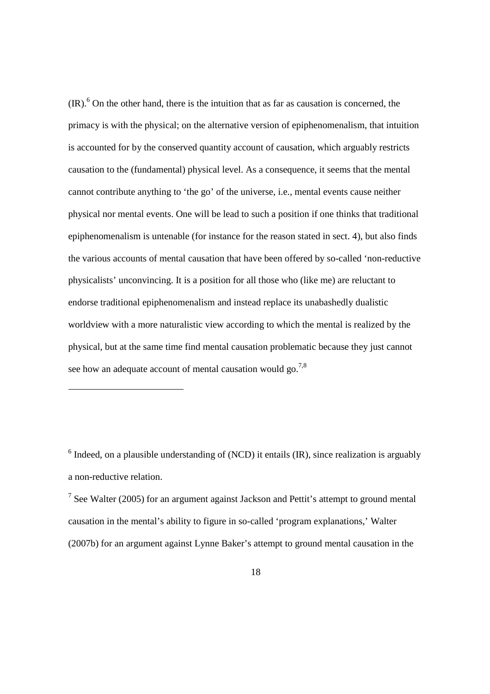$(IR)$ .<sup>6</sup> On the other hand, there is the intuition that as far as causation is concerned, the primacy is with the physical; on the alternative version of epiphenomenalism, that intuition is accounted for by the conserved quantity account of causation, which arguably restricts causation to the (fundamental) physical level. As a consequence, it seems that the mental cannot contribute anything to 'the go' of the universe, i.e., mental events cause neither physical nor mental events. One will be lead to such a position if one thinks that traditional epiphenomenalism is untenable (for instance for the reason stated in sect. 4), but also finds the various accounts of mental causation that have been offered by so-called 'non-reductive physicalists' unconvincing. It is a position for all those who (like me) are reluctant to endorse traditional epiphenomenalism and instead replace its unabashedly dualistic worldview with a more naturalistic view according to which the mental is realized by the physical, but at the same time find mental causation problematic because they just cannot see how an adequate account of mental causation would go.<sup>7,8</sup>

 $<sup>6</sup>$  Indeed, on a plausible understanding of (NCD) it entails (IR), since realization is arguably</sup> a non-reductive relation.

-

<sup>7</sup> See Walter (2005) for an argument against Jackson and Pettit's attempt to ground mental causation in the mental's ability to figure in so-called 'program explanations,' Walter (2007b) for an argument against Lynne Baker's attempt to ground mental causation in the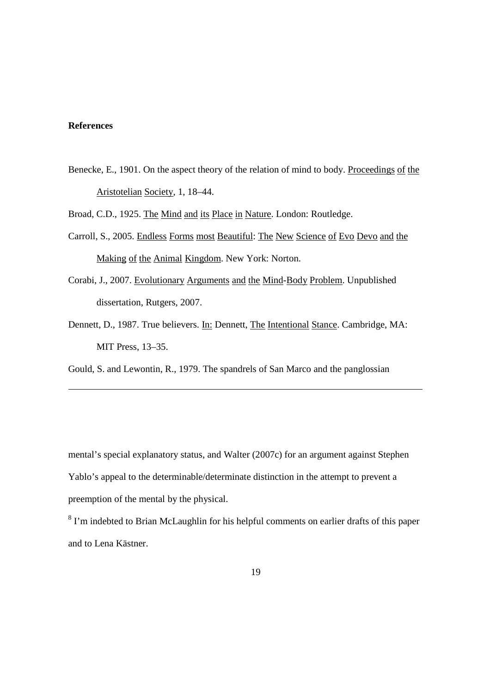## **References**

-

Benecke, E., 1901. On the aspect theory of the relation of mind to body. Proceedings of the Aristotelian Society, 1, 18–44.

Broad, C.D., 1925. The Mind and its Place in Nature. London: Routledge.

- Carroll, S., 2005. Endless Forms most Beautiful: The New Science of Evo Devo and the Making of the Animal Kingdom. New York: Norton.
- Corabi, J., 2007. Evolutionary Arguments and the Mind-Body Problem. Unpublished dissertation, Rutgers, 2007.
- Dennett, D., 1987. True believers. In: Dennett, The Intentional Stance. Cambridge, MA: MIT Press, 13–35.

Gould, S. and Lewontin, R., 1979. The spandrels of San Marco and the panglossian

mental's special explanatory status, and Walter (2007c) for an argument against Stephen Yablo's appeal to the determinable/determinate distinction in the attempt to prevent a preemption of the mental by the physical.

<sup>8</sup> I'm indebted to Brian McLaughlin for his helpful comments on earlier drafts of this paper and to Lena Kästner.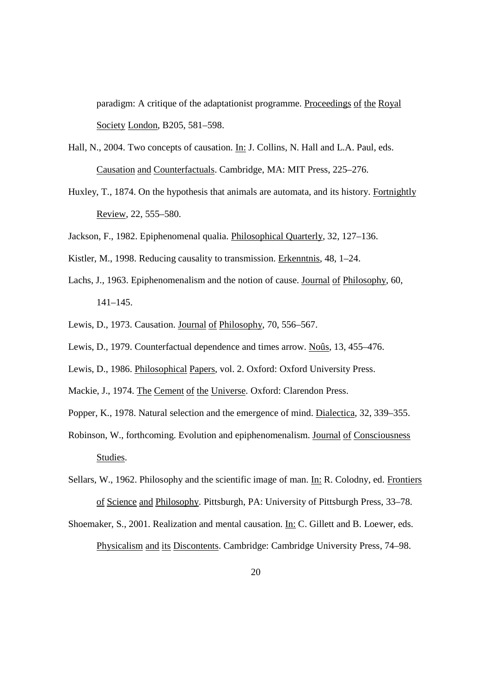paradigm: A critique of the adaptationist programme. Proceedings of the Royal Society London, B205, 581–598.

- Hall, N., 2004. Two concepts of causation. In: J. Collins, N. Hall and L.A. Paul, eds. Causation and Counterfactuals. Cambridge, MA: MIT Press, 225–276.
- Huxley, T., 1874. On the hypothesis that animals are automata, and its history. Fortnightly Review, 22, 555–580.
- Jackson, F., 1982. Epiphenomenal qualia. Philosophical Quarterly, 32, 127–136.
- Kistler, M., 1998. Reducing causality to transmission. Erkenntnis, 48, 1–24.
- Lachs, J., 1963. Epiphenomenalism and the notion of cause. Journal of Philosophy, 60, 141–145.
- Lewis, D., 1973. Causation. Journal of Philosophy, 70, 556–567.
- Lewis, D., 1979. Counterfactual dependence and times arrow. Noûs, 13, 455–476.
- Lewis, D., 1986. Philosophical Papers, vol. 2. Oxford: Oxford University Press.
- Mackie, J., 1974. The Cement of the Universe. Oxford: Clarendon Press.
- Popper, K., 1978. Natural selection and the emergence of mind. Dialectica, 32, 339–355.
- Robinson, W., forthcoming. Evolution and epiphenomenalism. Journal of Consciousness Studies.
- Sellars, W., 1962. Philosophy and the scientific image of man. In: R. Colodny, ed. Frontiers of Science and Philosophy. Pittsburgh, PA: University of Pittsburgh Press, 33–78.
- Shoemaker, S., 2001. Realization and mental causation. In: C. Gillett and B. Loewer, eds. Physicalism and its Discontents. Cambridge: Cambridge University Press, 74–98.